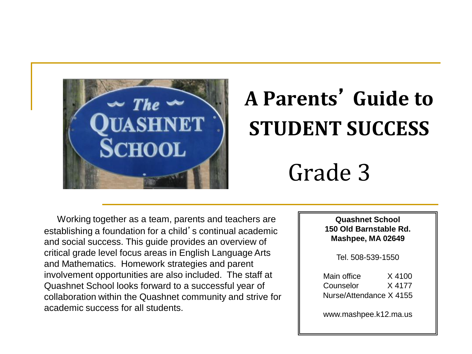

# **A Parents**' **Guide to STUDENT SUCCESS**

## Grade 3

Working together as a team, parents and teachers are establishing a foundation for a child's continual academic and social success. This guide provides an overview of critical grade level focus areas in English Language Arts and Mathematics. Homework strategies and parent involvement opportunities are also included. The staff at Quashnet School looks forward to a successful year of collaboration within the Quashnet community and strive for academic success for all students.

**Quashnet School 150 Old Barnstable Rd. Mashpee, MA 02649**

Tel. 508-539-1550

Main office X 4100 Counselor X 4177 Nurse/Attendance X 4155

www.mashpee.k12.ma.us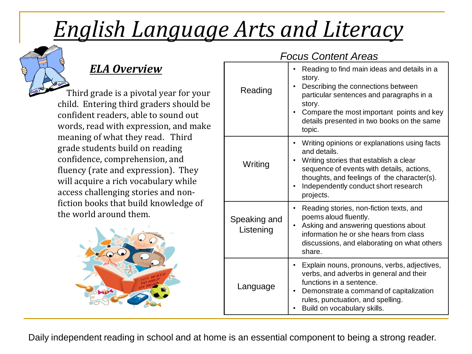# *English Language Arts and Literacy*



### *ELA Overview*

 Third grade is a pivotal year for your child. Entering third graders should be confident readers, able to sound out words, read with expression, and make meaning of what they read. Third grade students build on reading confidence, comprehension, and fluency (rate and expression). They will acquire a rich vocabulary while access challenging stories and nonfiction books that build knowledge of the world around them.



#### *Focus Content Areas*

| Reading                   | Reading to find main ideas and details in a<br>story.<br>Describing the connections between<br>particular sentences and paragraphs in a<br>story.<br>Compare the most important points and key<br>details presented in two books on the same<br>topic.  |
|---------------------------|---------------------------------------------------------------------------------------------------------------------------------------------------------------------------------------------------------------------------------------------------------|
| Writing                   | Writing opinions or explanations using facts<br>and details.<br>Writing stories that establish a clear<br>sequence of events with details, actions,<br>thoughts, and feelings of the character(s).<br>Independently conduct short research<br>projects. |
| Speaking and<br>Listening | Reading stories, non-fiction texts, and<br>poems aloud fluently.<br>Asking and answering questions about<br>information he or she hears from class<br>discussions, and elaborating on what others<br>share.                                             |
| Language                  | Explain nouns, pronouns, verbs, adjectives,<br>verbs, and adverbs in general and their<br>functions in a sentence.<br>Demonstrate a command of capitalization<br>rules, punctuation, and spelling.<br>Build on vocabulary skills.                       |

Daily independent reading in school and at home is an essential component to being a strong reader.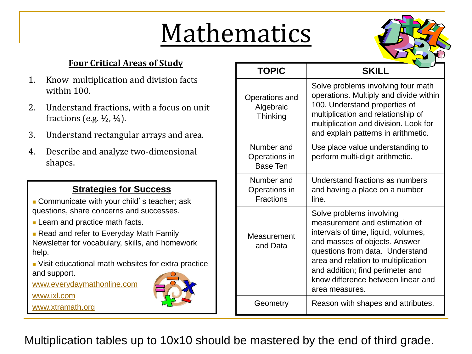# Mathematics



#### **Four Critical Areas of Study**

- 1. Know multiplication and division facts within 100.
- 2. Understand fractions, with a focus on unit fractions (e.g.  $\frac{1}{2}$ ,  $\frac{1}{4}$ ).
- 3. Understand rectangular arrays and area.
- 4. Describe and analyze two-dimensional shapes.

#### **Strategies for Success**

- **Communicate with your child's teacher; ask** questions, share concerns and successes.
- **Learn and practice math facts.**

**Read and refer to Everyday Math Family** Newsletter for vocabulary, skills, and homework help.

 Visit educational math websites for extra practice and support.

[www.everydaymathonline.com](http://www.everydaymathonline.com/)

[www.ixl.com](http://www.ixl.com/)

[www.xtramath.org](http://www.xtramath.org/) 

| <b>TOPIC</b>                                    | <b>SKILL</b>                                                                                                                                                                                                                                                                                            |
|-------------------------------------------------|---------------------------------------------------------------------------------------------------------------------------------------------------------------------------------------------------------------------------------------------------------------------------------------------------------|
| Operations and<br>Algebraic<br>Thinking         | Solve problems involving four math<br>operations. Multiply and divide within<br>100. Understand properties of<br>multiplication and relationship of<br>multiplication and division. Look for<br>and explain patterns in arithmetic.                                                                     |
| Number and<br>Operations in<br><b>Base Ten</b>  | Use place value understanding to<br>perform multi-digit arithmetic.                                                                                                                                                                                                                                     |
| Number and<br>Operations in<br><b>Fractions</b> | Understand fractions as numbers<br>and having a place on a number<br>line.                                                                                                                                                                                                                              |
| Measurement<br>and Data                         | Solve problems involving<br>measurement and estimation of<br>intervals of time, liquid, volumes,<br>and masses of objects. Answer<br>questions from data. Understand<br>area and relation to multiplication<br>and addition; find perimeter and<br>know difference between linear and<br>area measures. |
| Geometry                                        | Reason with shapes and attributes.                                                                                                                                                                                                                                                                      |

Multiplication tables up to 10x10 should be mastered by the end of third grade.